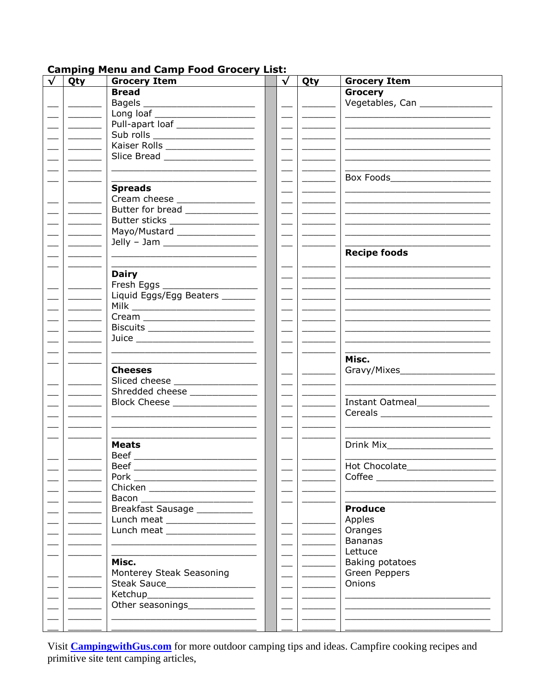## **Camping Menu and Camp Food Grocery List:**

| Qty                                                                                                                                                                                                                                                                                                                                                                                                                                         | <b>Grocery Item</b>                | $\sqrt{ }$               | Qty                                                                                                                                                                                                                                                                                                                                                                                                                                                                        | <b>Grocery Item</b>                                                                                                                                                                                                            |
|---------------------------------------------------------------------------------------------------------------------------------------------------------------------------------------------------------------------------------------------------------------------------------------------------------------------------------------------------------------------------------------------------------------------------------------------|------------------------------------|--------------------------|----------------------------------------------------------------------------------------------------------------------------------------------------------------------------------------------------------------------------------------------------------------------------------------------------------------------------------------------------------------------------------------------------------------------------------------------------------------------------|--------------------------------------------------------------------------------------------------------------------------------------------------------------------------------------------------------------------------------|
|                                                                                                                                                                                                                                                                                                                                                                                                                                             | <b>Bread</b>                       |                          |                                                                                                                                                                                                                                                                                                                                                                                                                                                                            | <b>Grocery</b>                                                                                                                                                                                                                 |
|                                                                                                                                                                                                                                                                                                                                                                                                                                             | Bagels __________________________  |                          |                                                                                                                                                                                                                                                                                                                                                                                                                                                                            | Vegetables, Can _______________                                                                                                                                                                                                |
|                                                                                                                                                                                                                                                                                                                                                                                                                                             | Long loaf ________________________ | $\overline{\phantom{a}}$ | <b>Contract Contract Contract</b>                                                                                                                                                                                                                                                                                                                                                                                                                                          |                                                                                                                                                                                                                                |
| $\frac{1}{2}$ . The set of $\frac{1}{2}$                                                                                                                                                                                                                                                                                                                                                                                                    | Pull-apart loaf ________________   | $\overline{\phantom{0}}$ |                                                                                                                                                                                                                                                                                                                                                                                                                                                                            |                                                                                                                                                                                                                                |
| $\begin{tabular}{ccccc} \multicolumn{2}{c }{\textbf{1} & \textbf{2} & \textbf{3} & \textbf{4} & \textbf{5} & \textbf{5} \\ \multicolumn{2}{c }{\textbf{2} & \textbf{3} & \textbf{4} & \textbf{5} & \textbf{5} & \textbf{6} & \textbf{6} \\ \multicolumn{2}{c }{\textbf{3} & \textbf{5} & \textbf{5} & \textbf{6} & \textbf{6} & \textbf{6} & \textbf{6} & \textbf{6} & \textbf{6} \\ \multicolumn{2}{c }{\textbf{4} & \textbf{6} & \textbf$ | Sub rolls _____________________    |                          |                                                                                                                                                                                                                                                                                                                                                                                                                                                                            |                                                                                                                                                                                                                                |
|                                                                                                                                                                                                                                                                                                                                                                                                                                             | Kaiser Rolls ____________________  | $\frac{1}{1}$            |                                                                                                                                                                                                                                                                                                                                                                                                                                                                            |                                                                                                                                                                                                                                |
|                                                                                                                                                                                                                                                                                                                                                                                                                                             | Slice Bread ___________________    |                          |                                                                                                                                                                                                                                                                                                                                                                                                                                                                            |                                                                                                                                                                                                                                |
|                                                                                                                                                                                                                                                                                                                                                                                                                                             |                                    |                          |                                                                                                                                                                                                                                                                                                                                                                                                                                                                            |                                                                                                                                                                                                                                |
|                                                                                                                                                                                                                                                                                                                                                                                                                                             |                                    |                          |                                                                                                                                                                                                                                                                                                                                                                                                                                                                            | Box Foods________________________                                                                                                                                                                                              |
|                                                                                                                                                                                                                                                                                                                                                                                                                                             | <b>Spreads</b>                     |                          |                                                                                                                                                                                                                                                                                                                                                                                                                                                                            |                                                                                                                                                                                                                                |
|                                                                                                                                                                                                                                                                                                                                                                                                                                             |                                    |                          |                                                                                                                                                                                                                                                                                                                                                                                                                                                                            |                                                                                                                                                                                                                                |
|                                                                                                                                                                                                                                                                                                                                                                                                                                             | Cream cheese ________________      |                          |                                                                                                                                                                                                                                                                                                                                                                                                                                                                            |                                                                                                                                                                                                                                |
|                                                                                                                                                                                                                                                                                                                                                                                                                                             | Butter for bread _______________   |                          | $\frac{1}{2} \left( \frac{1}{2} \right) \left( \frac{1}{2} \right) \left( \frac{1}{2} \right) \left( \frac{1}{2} \right) \left( \frac{1}{2} \right) \left( \frac{1}{2} \right) \left( \frac{1}{2} \right) \left( \frac{1}{2} \right) \left( \frac{1}{2} \right) \left( \frac{1}{2} \right) \left( \frac{1}{2} \right) \left( \frac{1}{2} \right) \left( \frac{1}{2} \right) \left( \frac{1}{2} \right) \left( \frac{1}{2} \right) \left( \frac{1}{2} \right) \left( \frac$ |                                                                                                                                                                                                                                |
|                                                                                                                                                                                                                                                                                                                                                                                                                                             | Butter sticks __________________   |                          | $\sim$ 100 $\sim$                                                                                                                                                                                                                                                                                                                                                                                                                                                          |                                                                                                                                                                                                                                |
|                                                                                                                                                                                                                                                                                                                                                                                                                                             | Mayo/Mustard _________________     | $\frac{1}{2}$            | $\sim$ 100 $\sim$                                                                                                                                                                                                                                                                                                                                                                                                                                                          |                                                                                                                                                                                                                                |
|                                                                                                                                                                                                                                                                                                                                                                                                                                             |                                    |                          |                                                                                                                                                                                                                                                                                                                                                                                                                                                                            |                                                                                                                                                                                                                                |
|                                                                                                                                                                                                                                                                                                                                                                                                                                             |                                    |                          |                                                                                                                                                                                                                                                                                                                                                                                                                                                                            | <b>Recipe foods</b>                                                                                                                                                                                                            |
|                                                                                                                                                                                                                                                                                                                                                                                                                                             |                                    |                          |                                                                                                                                                                                                                                                                                                                                                                                                                                                                            |                                                                                                                                                                                                                                |
|                                                                                                                                                                                                                                                                                                                                                                                                                                             | <b>Dairy</b>                       |                          |                                                                                                                                                                                                                                                                                                                                                                                                                                                                            | <u> 1989 - Johann Harry Harry Harry Harry Harry Harry Harry Harry Harry Harry Harry Harry Harry Harry Harry Harry</u>                                                                                                          |
|                                                                                                                                                                                                                                                                                                                                                                                                                                             | Fresh Eggs _____________________   |                          |                                                                                                                                                                                                                                                                                                                                                                                                                                                                            | <u> Andreas Andreas Andreas Andreas Andreas Andreas Andreas Andreas Andreas Andreas Andreas Andreas Andreas Andreas</u>                                                                                                        |
|                                                                                                                                                                                                                                                                                                                                                                                                                                             | Liquid Eggs/Egg Beaters _______    |                          | $\frac{1}{2}$                                                                                                                                                                                                                                                                                                                                                                                                                                                              | <u> Alexandria (m. 1958)</u>                                                                                                                                                                                                   |
|                                                                                                                                                                                                                                                                                                                                                                                                                                             |                                    |                          |                                                                                                                                                                                                                                                                                                                                                                                                                                                                            |                                                                                                                                                                                                                                |
|                                                                                                                                                                                                                                                                                                                                                                                                                                             | Cream ________________________     |                          |                                                                                                                                                                                                                                                                                                                                                                                                                                                                            |                                                                                                                                                                                                                                |
|                                                                                                                                                                                                                                                                                                                                                                                                                                             | Biscuits ______________________    |                          |                                                                                                                                                                                                                                                                                                                                                                                                                                                                            |                                                                                                                                                                                                                                |
|                                                                                                                                                                                                                                                                                                                                                                                                                                             | Juice ___________________________  |                          |                                                                                                                                                                                                                                                                                                                                                                                                                                                                            |                                                                                                                                                                                                                                |
|                                                                                                                                                                                                                                                                                                                                                                                                                                             |                                    |                          |                                                                                                                                                                                                                                                                                                                                                                                                                                                                            |                                                                                                                                                                                                                                |
|                                                                                                                                                                                                                                                                                                                                                                                                                                             |                                    |                          |                                                                                                                                                                                                                                                                                                                                                                                                                                                                            | Misc.                                                                                                                                                                                                                          |
|                                                                                                                                                                                                                                                                                                                                                                                                                                             | <b>Cheeses</b>                     |                          |                                                                                                                                                                                                                                                                                                                                                                                                                                                                            | Gravy/Mixes_____________________                                                                                                                                                                                               |
|                                                                                                                                                                                                                                                                                                                                                                                                                                             | Sliced cheese _________________    |                          |                                                                                                                                                                                                                                                                                                                                                                                                                                                                            |                                                                                                                                                                                                                                |
|                                                                                                                                                                                                                                                                                                                                                                                                                                             | Shredded cheese ______________     |                          |                                                                                                                                                                                                                                                                                                                                                                                                                                                                            |                                                                                                                                                                                                                                |
|                                                                                                                                                                                                                                                                                                                                                                                                                                             | Block Cheese _________________     |                          |                                                                                                                                                                                                                                                                                                                                                                                                                                                                            | Instant Oatmeal______________                                                                                                                                                                                                  |
|                                                                                                                                                                                                                                                                                                                                                                                                                                             |                                    |                          |                                                                                                                                                                                                                                                                                                                                                                                                                                                                            |                                                                                                                                                                                                                                |
|                                                                                                                                                                                                                                                                                                                                                                                                                                             |                                    |                          |                                                                                                                                                                                                                                                                                                                                                                                                                                                                            |                                                                                                                                                                                                                                |
|                                                                                                                                                                                                                                                                                                                                                                                                                                             |                                    |                          |                                                                                                                                                                                                                                                                                                                                                                                                                                                                            |                                                                                                                                                                                                                                |
|                                                                                                                                                                                                                                                                                                                                                                                                                                             |                                    |                          |                                                                                                                                                                                                                                                                                                                                                                                                                                                                            |                                                                                                                                                                                                                                |
|                                                                                                                                                                                                                                                                                                                                                                                                                                             | <b>Meats</b>                       |                          |                                                                                                                                                                                                                                                                                                                                                                                                                                                                            | Drink Mix and the control of the control of the control of the control of the control of the control of the control of the control of the control of the control of the control of the control of the control of the control o |
|                                                                                                                                                                                                                                                                                                                                                                                                                                             | Beef                               |                          |                                                                                                                                                                                                                                                                                                                                                                                                                                                                            |                                                                                                                                                                                                                                |
|                                                                                                                                                                                                                                                                                                                                                                                                                                             | <b>Beef</b>                        |                          |                                                                                                                                                                                                                                                                                                                                                                                                                                                                            | <b>Hot Chocolate</b>                                                                                                                                                                                                           |
|                                                                                                                                                                                                                                                                                                                                                                                                                                             | Pork _____________________________ |                          |                                                                                                                                                                                                                                                                                                                                                                                                                                                                            | Coffee ________________________                                                                                                                                                                                                |
|                                                                                                                                                                                                                                                                                                                                                                                                                                             | Chicken _______________________    |                          |                                                                                                                                                                                                                                                                                                                                                                                                                                                                            |                                                                                                                                                                                                                                |
|                                                                                                                                                                                                                                                                                                                                                                                                                                             | Bacon __________________________   |                          |                                                                                                                                                                                                                                                                                                                                                                                                                                                                            |                                                                                                                                                                                                                                |
|                                                                                                                                                                                                                                                                                                                                                                                                                                             | Breakfast Sausage ___________      |                          |                                                                                                                                                                                                                                                                                                                                                                                                                                                                            | <b>Produce</b>                                                                                                                                                                                                                 |
|                                                                                                                                                                                                                                                                                                                                                                                                                                             | Lunch meat ___________________     |                          |                                                                                                                                                                                                                                                                                                                                                                                                                                                                            | Apples                                                                                                                                                                                                                         |
|                                                                                                                                                                                                                                                                                                                                                                                                                                             | Lunch meat ___________________     |                          |                                                                                                                                                                                                                                                                                                                                                                                                                                                                            | Oranges                                                                                                                                                                                                                        |
|                                                                                                                                                                                                                                                                                                                                                                                                                                             |                                    |                          |                                                                                                                                                                                                                                                                                                                                                                                                                                                                            | <b>Bananas</b>                                                                                                                                                                                                                 |
|                                                                                                                                                                                                                                                                                                                                                                                                                                             |                                    |                          |                                                                                                                                                                                                                                                                                                                                                                                                                                                                            | Lettuce                                                                                                                                                                                                                        |
|                                                                                                                                                                                                                                                                                                                                                                                                                                             | Misc.                              |                          |                                                                                                                                                                                                                                                                                                                                                                                                                                                                            | Baking potatoes                                                                                                                                                                                                                |
|                                                                                                                                                                                                                                                                                                                                                                                                                                             | Monterey Steak Seasoning           |                          |                                                                                                                                                                                                                                                                                                                                                                                                                                                                            | Green Peppers                                                                                                                                                                                                                  |
|                                                                                                                                                                                                                                                                                                                                                                                                                                             | Steak Sauce____________________    |                          |                                                                                                                                                                                                                                                                                                                                                                                                                                                                            | Onions                                                                                                                                                                                                                         |
|                                                                                                                                                                                                                                                                                                                                                                                                                                             | Ketchup_______________________     |                          |                                                                                                                                                                                                                                                                                                                                                                                                                                                                            |                                                                                                                                                                                                                                |
|                                                                                                                                                                                                                                                                                                                                                                                                                                             | Other seasonings______________     |                          |                                                                                                                                                                                                                                                                                                                                                                                                                                                                            |                                                                                                                                                                                                                                |
|                                                                                                                                                                                                                                                                                                                                                                                                                                             |                                    |                          |                                                                                                                                                                                                                                                                                                                                                                                                                                                                            |                                                                                                                                                                                                                                |
|                                                                                                                                                                                                                                                                                                                                                                                                                                             |                                    |                          | $\overline{\phantom{a}}$                                                                                                                                                                                                                                                                                                                                                                                                                                                   | <u> 1989 - Johann John Harry, mars and deutscher Amerikaanse kommen van de Europa van de Europa van de Europa van </u>                                                                                                         |
|                                                                                                                                                                                                                                                                                                                                                                                                                                             |                                    |                          |                                                                                                                                                                                                                                                                                                                                                                                                                                                                            |                                                                                                                                                                                                                                |

Visit **CampingwithGus.com** for more outdoor camping tips and ideas. Campfire cooking recipes and primitive site tent camping articles,